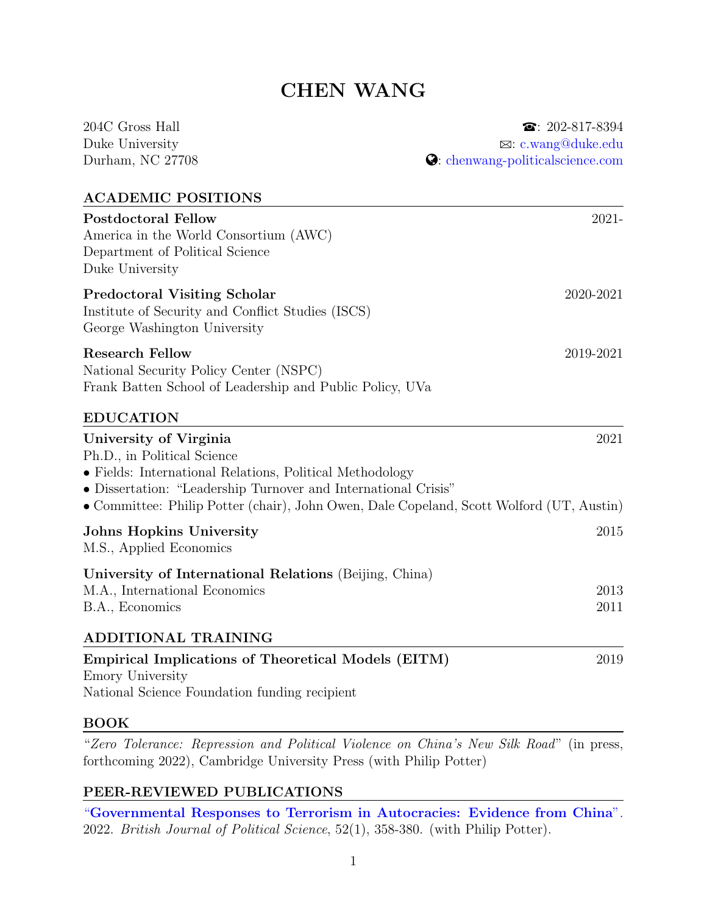# CHEN WANG

| 204C Gross Hall                                                                                                                                                                                                                                                                 | $\bullet$ : 202-817-8394         |
|---------------------------------------------------------------------------------------------------------------------------------------------------------------------------------------------------------------------------------------------------------------------------------|----------------------------------|
| Duke University                                                                                                                                                                                                                                                                 | $\boxtimes:$ c.wang@duke.edu     |
| Durham, NC 27708                                                                                                                                                                                                                                                                | C: chenwang-politicalscience.com |
| <b>ACADEMIC POSITIONS</b>                                                                                                                                                                                                                                                       |                                  |
| <b>Postdoctoral Fellow</b><br>America in the World Consortium (AWC)<br>Department of Political Science<br>Duke University                                                                                                                                                       | 2021-                            |
| <b>Predoctoral Visiting Scholar</b><br>Institute of Security and Conflict Studies (ISCS)<br>George Washington University                                                                                                                                                        | 2020-2021                        |
| <b>Research Fellow</b><br>National Security Policy Center (NSPC)<br>Frank Batten School of Leadership and Public Policy, UVa                                                                                                                                                    | 2019-2021                        |
| <b>EDUCATION</b>                                                                                                                                                                                                                                                                |                                  |
| University of Virginia<br>Ph.D., in Political Science<br>• Fields: International Relations, Political Methodology<br>• Dissertation: "Leadership Turnover and International Crisis"<br>• Committee: Philip Potter (chair), John Owen, Dale Copeland, Scott Wolford (UT, Austin) | 2021                             |
| <b>Johns Hopkins University</b><br>M.S., Applied Economics                                                                                                                                                                                                                      | 2015                             |
| University of International Relations (Beijing, China)<br>M.A., International Economics<br>B.A., Economics                                                                                                                                                                      | 2013<br>2011                     |
| ADDITIONAL TRAINING                                                                                                                                                                                                                                                             |                                  |
| <b>Empirical Implications of Theoretical Models (EITM)</b><br>Emory University<br>National Science Foundation funding recipient                                                                                                                                                 | 2019                             |

# BOOK

"Zero Tolerance: Repression and Political Violence on China's New Silk Road" (in press, forthcoming 2022), Cambridge University Press (with Philip Potter)

# PEER-REVIEWED PUBLICATIONS

"[Governmental Responses to Terrorism in Autocracies: Evidence from China](https://www.cambridge.org/core/journals/british-journal-of-political-science/article/governmental-responses-to-terrorism-in-autocracies-evidence-from-china/762DB27C97507AFB5A35BF1B6625BE87/)". 2022. British Journal of Political Science, 52(1), 358-380. (with Philip Potter).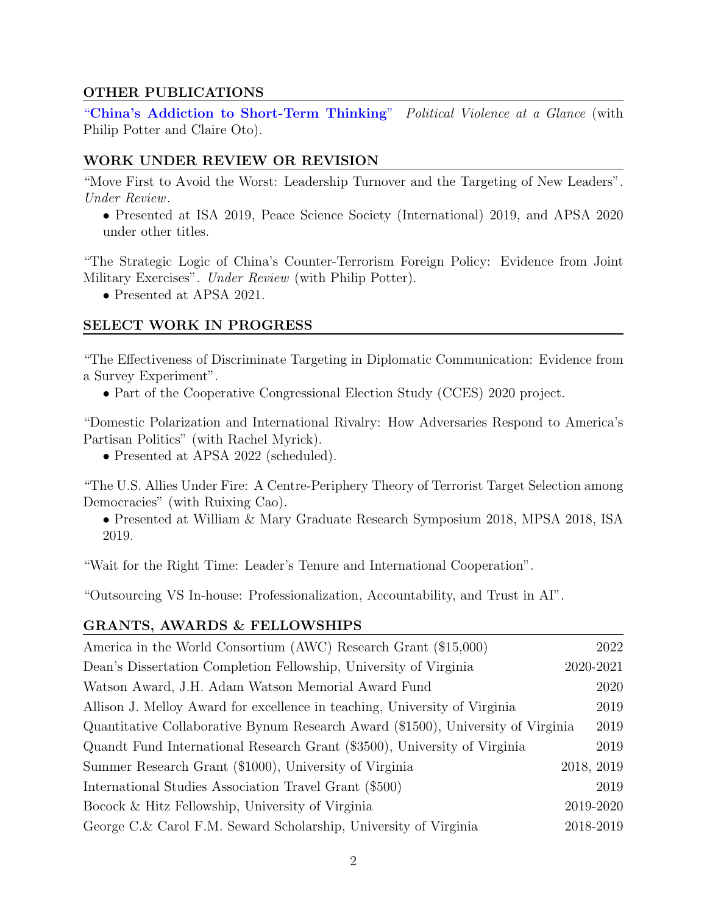## OTHER PUBLICATIONS

"[China's Addiction to Short-Term Thinking](https://politicalviolenceataglance.org/2021/03/19/chinas-addiction-to-short-term-thinking/)" Political Violence at a Glance (with Philip Potter and Claire Oto).

### WORK UNDER REVIEW OR REVISION

"Move First to Avoid the Worst: Leadership Turnover and the Targeting of New Leaders". Under Review.

• Presented at ISA 2019, Peace Science Society (International) 2019, and APSA 2020 under other titles.

"The Strategic Logic of China's Counter-Terrorism Foreign Policy: Evidence from Joint Military Exercises". Under Review (with Philip Potter).

• Presented at APSA 2021.

## SELECT WORK IN PROGRESS

"The Effectiveness of Discriminate Targeting in Diplomatic Communication: Evidence from a Survey Experiment".

• Part of the Cooperative Congressional Election Study (CCES) 2020 project.

"Domestic Polarization and International Rivalry: How Adversaries Respond to America's Partisan Politics" (with Rachel Myrick).

• Presented at APSA 2022 (scheduled).

"The U.S. Allies Under Fire: A Centre-Periphery Theory of Terrorist Target Selection among Democracies" (with Ruixing Cao).

• Presented at William & Mary Graduate Research Symposium 2018, MPSA 2018, ISA 2019.

"Wait for the Right Time: Leader's Tenure and International Cooperation".

"Outsourcing VS In-house: Professionalization, Accountability, and Trust in AI".

### GRANTS, AWARDS & FELLOWSHIPS

| America in the World Consortium (AWC) Research Grant (\$15,000)                  | 2022       |
|----------------------------------------------------------------------------------|------------|
| Dean's Dissertation Completion Fellowship, University of Virginia                | 2020-2021  |
| Watson Award, J.H. Adam Watson Memorial Award Fund                               | 2020       |
| Allison J. Melloy Award for excellence in teaching, University of Virginia       | 2019       |
| Quantitative Collaborative Bynum Research Award (\$1500), University of Virginia | 2019       |
| Quandt Fund International Research Grant (\$3500), University of Virginia        | 2019       |
| Summer Research Grant (\$1000), University of Virginia                           | 2018, 2019 |
| International Studies Association Travel Grant (\$500)                           | 2019       |
| Bocock & Hitz Fellowship, University of Virginia                                 | 2019-2020  |
| George C.& Carol F.M. Seward Scholarship, University of Virginia                 | 2018-2019  |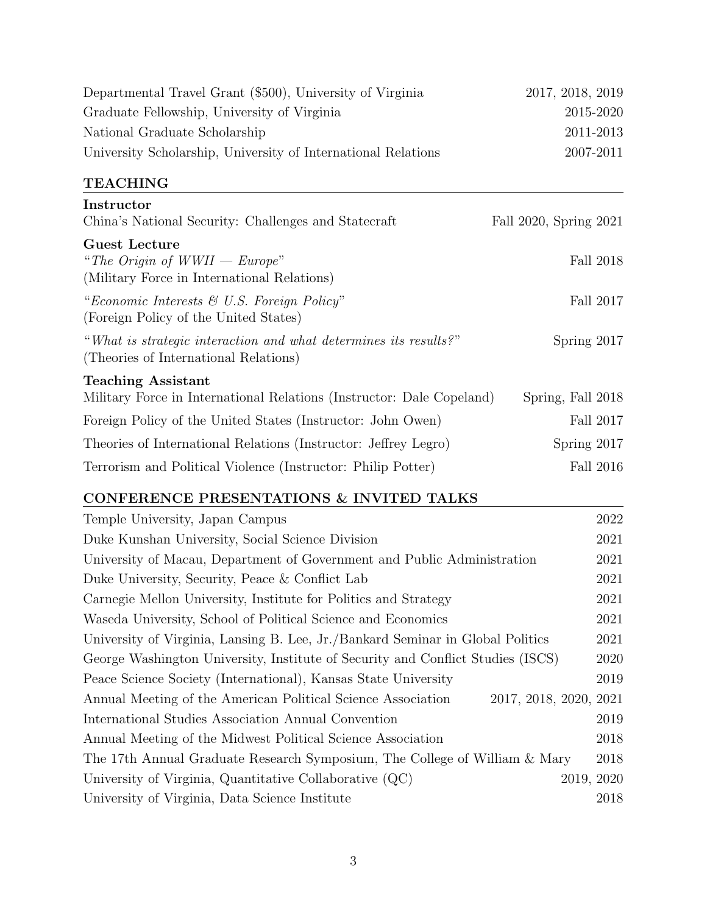| Departmental Travel Grant (\$500), University of Virginia                                                 | 2017, 2018, 2019       |
|-----------------------------------------------------------------------------------------------------------|------------------------|
| Graduate Fellowship, University of Virginia                                                               | 2015-2020              |
| National Graduate Scholarship                                                                             | 2011-2013              |
| University Scholarship, University of International Relations                                             | 2007-2011              |
| <b>TEACHING</b>                                                                                           |                        |
| Instructor                                                                                                |                        |
| China's National Security: Challenges and Statecraft                                                      | Fall 2020, Spring 2021 |
| <b>Guest Lecture</b><br>"The Origin of $WWII - Europe$ "<br>(Military Force in International Relations)   | Fall 2018              |
| "Economic Interests $\mathcal C$ U.S. Foreign Policy"<br>(Foreign Policy of the United States)            | Fall 2017              |
| "What is strategic interaction and what determines its results?"<br>(Theories of International Relations) | Spring 2017            |
| <b>Teaching Assistant</b>                                                                                 |                        |
| Military Force in International Relations (Instructor: Dale Copeland)                                     | Spring, Fall 2018      |
| Foreign Policy of the United States (Instructor: John Owen)                                               | Fall 2017              |
| Theories of International Relations (Instructor: Jeffrey Legro)                                           | Spring 2017            |
| Terrorism and Political Violence (Instructor: Philip Potter)                                              | Fall 2016              |

# CONFERENCE PRESENTATIONS  $\&$  INVITED TALKS

| Temple University, Japan Campus                                                        | 2022 |
|----------------------------------------------------------------------------------------|------|
| Duke Kunshan University, Social Science Division                                       | 2021 |
| University of Macau, Department of Government and Public Administration                | 2021 |
| Duke University, Security, Peace & Conflict Lab                                        | 2021 |
| Carnegie Mellon University, Institute for Politics and Strategy                        | 2021 |
| Waseda University, School of Political Science and Economics                           | 2021 |
| University of Virginia, Lansing B. Lee, Jr. Bankard Seminar in Global Politics         | 2021 |
| George Washington University, Institute of Security and Conflict Studies (ISCS)        | 2020 |
| Peace Science Society (International), Kansas State University                         | 2019 |
| 2017, 2018, 2020, 2021<br>Annual Meeting of the American Political Science Association |      |
| International Studies Association Annual Convention                                    | 2019 |
| Annual Meeting of the Midwest Political Science Association                            | 2018 |
| The 17th Annual Graduate Research Symposium, The College of William & Mary             | 2018 |
| University of Virginia, Quantitative Collaborative $(QC)$<br>2019, 2020                |      |
| University of Virginia, Data Science Institute                                         | 2018 |